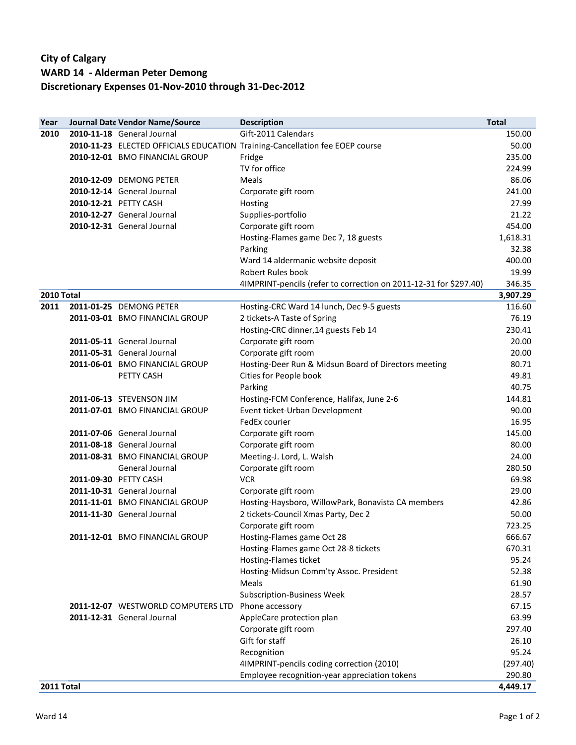## **City of Calgary WARD 14 - Alderman Peter Demong Discretionary Expenses 01-Nov-2010 through 31-Dec-2012**

| Year       | Journal Date Vendor Name/Source    | <b>Description</b>                                                           | <b>Total</b>       |
|------------|------------------------------------|------------------------------------------------------------------------------|--------------------|
| 2010       | 2010-11-18 General Journal         | Gift-2011 Calendars                                                          | 150.00             |
|            |                                    | 2010-11-23 ELECTED OFFICIALS EDUCATION Training-Cancellation fee EOEP course | 50.00              |
|            | 2010-12-01 BMO FINANCIAL GROUP     | Fridge                                                                       | 235.00             |
|            |                                    | TV for office                                                                | 224.99             |
|            | 2010-12-09 DEMONG PETER            | Meals                                                                        | 86.06              |
|            | 2010-12-14 General Journal         | Corporate gift room                                                          | 241.00             |
|            | 2010-12-21 PETTY CASH              | Hosting                                                                      | 27.99              |
|            | 2010-12-27 General Journal         | Supplies-portfolio                                                           | 21.22              |
|            | 2010-12-31 General Journal         | Corporate gift room                                                          | 454.00             |
|            |                                    | Hosting-Flames game Dec 7, 18 guests                                         | 1,618.31           |
|            |                                    | Parking                                                                      | 32.38              |
|            |                                    | Ward 14 aldermanic website deposit                                           | 400.00             |
|            |                                    | Robert Rules book                                                            | 19.99              |
|            |                                    | 4IMPRINT-pencils (refer to correction on 2011-12-31 for \$297.40)            | 346.35             |
| 2010 Total |                                    |                                                                              | 3,907.29           |
| 2011       | 2011-01-25 DEMONG PETER            | Hosting-CRC Ward 14 lunch, Dec 9-5 guests                                    | 116.60             |
|            | 2011-03-01 BMO FINANCIAL GROUP     | 2 tickets-A Taste of Spring                                                  | 76.19              |
|            |                                    | Hosting-CRC dinner, 14 guests Feb 14                                         | 230.41             |
|            | 2011-05-11 General Journal         | Corporate gift room                                                          | 20.00              |
|            | 2011-05-31 General Journal         | Corporate gift room                                                          | 20.00              |
|            | 2011-06-01 BMO FINANCIAL GROUP     | Hosting-Deer Run & Midsun Board of Directors meeting                         | 80.71              |
|            | PETTY CASH                         | Cities for People book                                                       | 49.81              |
|            |                                    | Parking                                                                      | 40.75              |
|            | 2011-06-13 STEVENSON JIM           | Hosting-FCM Conference, Halifax, June 2-6                                    | 144.81             |
|            | 2011-07-01 BMO FINANCIAL GROUP     | Event ticket-Urban Development                                               | 90.00              |
|            |                                    | FedEx courier                                                                | 16.95              |
|            | 2011-07-06 General Journal         | Corporate gift room                                                          | 145.00             |
|            | 2011-08-18 General Journal         | Corporate gift room                                                          | 80.00              |
|            | 2011-08-31 BMO FINANCIAL GROUP     | Meeting-J. Lord, L. Walsh                                                    | 24.00              |
|            | General Journal                    | Corporate gift room                                                          | 280.50             |
|            | 2011-09-30 PETTY CASH              | <b>VCR</b>                                                                   | 69.98              |
|            | 2011-10-31 General Journal         | Corporate gift room                                                          | 29.00              |
|            | 2011-11-01 BMO FINANCIAL GROUP     | Hosting-Haysboro, WillowPark, Bonavista CA members                           | 42.86              |
|            | 2011-11-30 General Journal         | 2 tickets-Council Xmas Party, Dec 2                                          | 50.00              |
|            |                                    | Corporate gift room                                                          | 723.25             |
|            | 2011-12-01 BMO FINANCIAL GROUP     | Hosting-Flames game Oct 28                                                   | 666.67             |
|            |                                    | Hosting-Flames game Oct 28-8 tickets                                         | 670.31             |
|            |                                    | Hosting-Flames ticket                                                        | 95.24              |
|            |                                    | Hosting-Midsun Comm'ty Assoc. President                                      | 52.38              |
|            |                                    | Meals                                                                        | 61.90              |
|            |                                    | <b>Subscription-Business Week</b>                                            | 28.57              |
|            | 2011-12-07 WESTWORLD COMPUTERS LTD | Phone accessory                                                              | 67.15              |
|            | 2011-12-31 General Journal         | AppleCare protection plan                                                    | 63.99              |
|            |                                    | Corporate gift room                                                          | 297.40             |
|            |                                    | Gift for staff                                                               | 26.10              |
|            |                                    | Recognition                                                                  | 95.24              |
|            |                                    | 4IMPRINT-pencils coding correction (2010)                                    | (297.40)           |
| 2011 Total |                                    | Employee recognition-year appreciation tokens                                | 290.80<br>4,449.17 |
|            |                                    |                                                                              |                    |